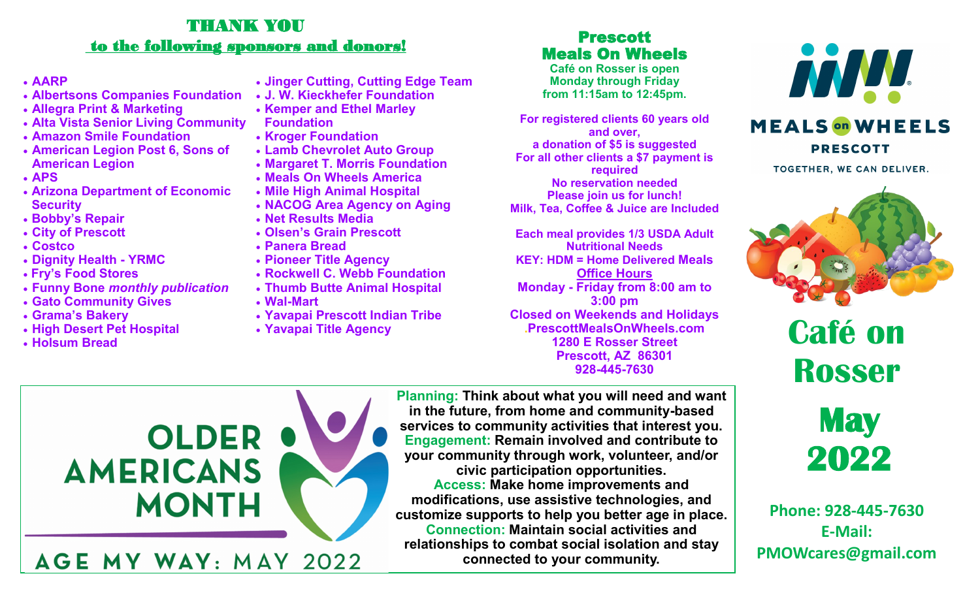# THANK YOU to the following sponsors and donors!

# • **AARP**

- **Albertsons Companies Foundation**
- **Allegra Print & Marketing**
- **Alta Vista Senior Living Community**
- **Amazon Smile Foundation**
- **American Legion Post 6, Sons of American Legion**
- **APS**
- **Arizona Department of Economic Security**
- **Bobby's Repair**
- **City of Prescott**
- **Costco**
- **Dignity Health - YRMC**
- **Fry's Food Stores**
- **Funny Bone** *monthly publication*
- **Gato Community Gives**
- **Grama's Bakery**
- **High Desert Pet Hospital**
- **Holsum Bread**
- **Jinger Cutting, Cutting Edge Team**
- **J. W. Kieckhefer Foundation**
- **Kemper and Ethel Marley**
- **Foundation**
- **Kroger Foundation**
- **Lamb Chevrolet Auto Group**
- **Margaret T. Morris Foundation**
- **Meals On Wheels America**
- **Mile High Animal Hospital**
- **NACOG Area Agency on Aging**
- **Net Results Media**
- **Olsen's Grain Prescott**
- **Panera Bread**
- **Pioneer Title Agency**
- **Rockwell C. Webb Foundation**
- **Thumb Butte Animal Hospital**
- **Wal-Mart**
- **Yavapai Prescott Indian Tribe**
- **Yavapai Title Agency**

# Prescott Meals On Wheels

**Café on Rosser is open Monday through Friday from 11:15am to 12:45pm.**

**For registered clients 60 years old and over, a donation of \$5 is suggested For all other clients a \$7 payment is required No reservation needed Please join us for lunch! Milk, Tea, Coffee & Juice are Included**

**Each meal provides 1/3 USDA Adult Nutritional Needs KEY: HDM = Home Delivered Meals Office Hours Monday - Friday from 8:00 am to 3:00 pm Closed on Weekends and Holidays .PrescottMealsOnWheels.com 1280 E Rosser Street Prescott, AZ 86301 928-445-7630**



# **MEALS** on WHEELS **PRESCOTT**

TOGETHER, WE CAN DELIVER.







**Phone: 928-445-7630 E-Mail: PMOWcares@gmail.com**



**Planning: Think about what you will need and want in the future, from home and community-based services to community activities that interest you. Engagement: Remain involved and contribute to your community through work, volunteer, and/or civic participation opportunities. Access: Make home improvements and modifications, use assistive technologies, and customize supports to help you better age in place. Connection: Maintain social activities and relationships to combat social isolation and stay connected to your community.**